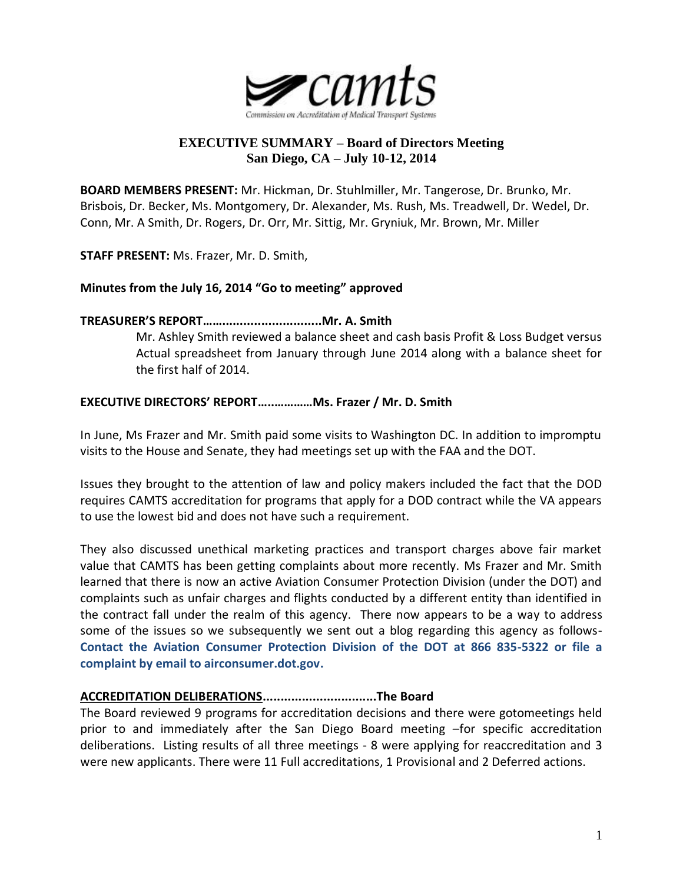

# **EXECUTIVE SUMMARY – Board of Directors Meeting San Diego, CA – July 10-12, 2014**

**BOARD MEMBERS PRESENT:** Mr. Hickman, Dr. Stuhlmiller, Mr. Tangerose, Dr. Brunko, Mr. Brisbois, Dr. Becker, Ms. Montgomery, Dr. Alexander, Ms. Rush, Ms. Treadwell, Dr. Wedel, Dr. Conn, Mr. A Smith, Dr. Rogers, Dr. Orr, Mr. Sittig, Mr. Gryniuk, Mr. Brown, Mr. Miller

**STAFF PRESENT:** Ms. Frazer, Mr. D. Smith,

## **Minutes from the July 16, 2014 "Go to meeting" approved**

### **TREASURER'S REPORT……............................Mr. A. Smith**

Mr. Ashley Smith reviewed a balance sheet and cash basis Profit & Loss Budget versus Actual spreadsheet from January through June 2014 along with a balance sheet for the first half of 2014.

## **EXECUTIVE DIRECTORS' REPORT…..…………Ms. Frazer / Mr. D. Smith**

In June, Ms Frazer and Mr. Smith paid some visits to Washington DC. In addition to impromptu visits to the House and Senate, they had meetings set up with the FAA and the DOT.

Issues they brought to the attention of law and policy makers included the fact that the DOD requires CAMTS accreditation for programs that apply for a DOD contract while the VA appears to use the lowest bid and does not have such a requirement.

They also discussed unethical marketing practices and transport charges above fair market value that CAMTS has been getting complaints about more recently. Ms Frazer and Mr. Smith learned that there is now an active Aviation Consumer Protection Division (under the DOT) and complaints such as unfair charges and flights conducted by a different entity than identified in the contract fall under the realm of this agency. There now appears to be a way to address some of the issues so we subsequently we sent out a blog regarding this agency as follows-**Contact the Aviation Consumer Protection Division of the DOT at 866 835-5322 or file a complaint by email to airconsumer.dot.gov.**

## **ACCREDITATION DELIBERATIONS................................The Board**

The Board reviewed 9 programs for accreditation decisions and there were gotomeetings held prior to and immediately after the San Diego Board meeting –for specific accreditation deliberations. Listing results of all three meetings - 8 were applying for reaccreditation and 3 were new applicants. There were 11 Full accreditations, 1 Provisional and 2 Deferred actions.